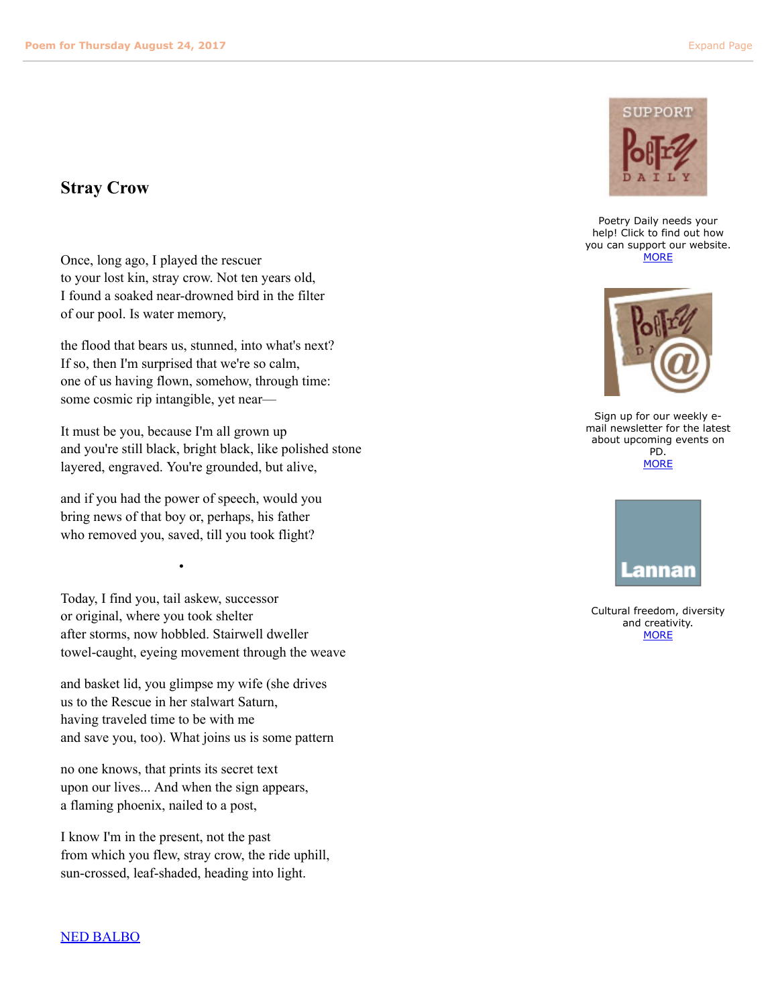## **Stray Crow**

Once, long ago, I played the rescuer to your lost kin, stray crow. Not ten years old, I found a soaked near-drowned bird in the filter of our pool. Is water memory,

the flood that bears us, stunned, into what's next? If so, then I'm surprised that we're so calm, one of us having flown, somehow, through time: some cosmic rip intangible, yet near—

It must be you, because I'm all grown up and you're still black, bright black, like polished stone layered, engraved. You're grounded, but alive,

and if you had the power of speech, would you bring news of that boy or, perhaps, his father who removed you, saved, till you took flight?

e de la provincia de la provincia de la provincia de la provincia de la provincia de la provincia de la provin<br>En 1930, en 1930, en 1930, en 1930, en 1930, en 1930, en 1930, en 1930, en 1930, en 1930, en 1930, en 1930, en

Today, I find you, tail askew, successor or original, where you took shelter after storms, now hobbled. Stairwell dweller towel-caught, eyeing movement through the weave

and basket lid, you glimpse my wife (she drives us to the Rescue in her stalwart Saturn, having traveled time to be with me and save you, too). What joins us is some pattern

no one knows, that prints its secret text upon our lives... And when the sign appears, a flaming phoenix, nailed to a post,

I know I'm in the present, not the past from which you flew, stray crow, the ride uphill, sun-crossed, leaf-shaded, heading into light.



Poetry Daily needs your help! Click to find out how you can support our website. **[MORE](http://poems.com/support/support.htm)** 



Sign up for our weekly email newsletter for the latest about upcoming events on PD. **[MORE](http://www.poems.com/about_newsletter.php)** 



Cultural freedom, diversity and creativity. **[MORE](http://www.lannan.org/)**